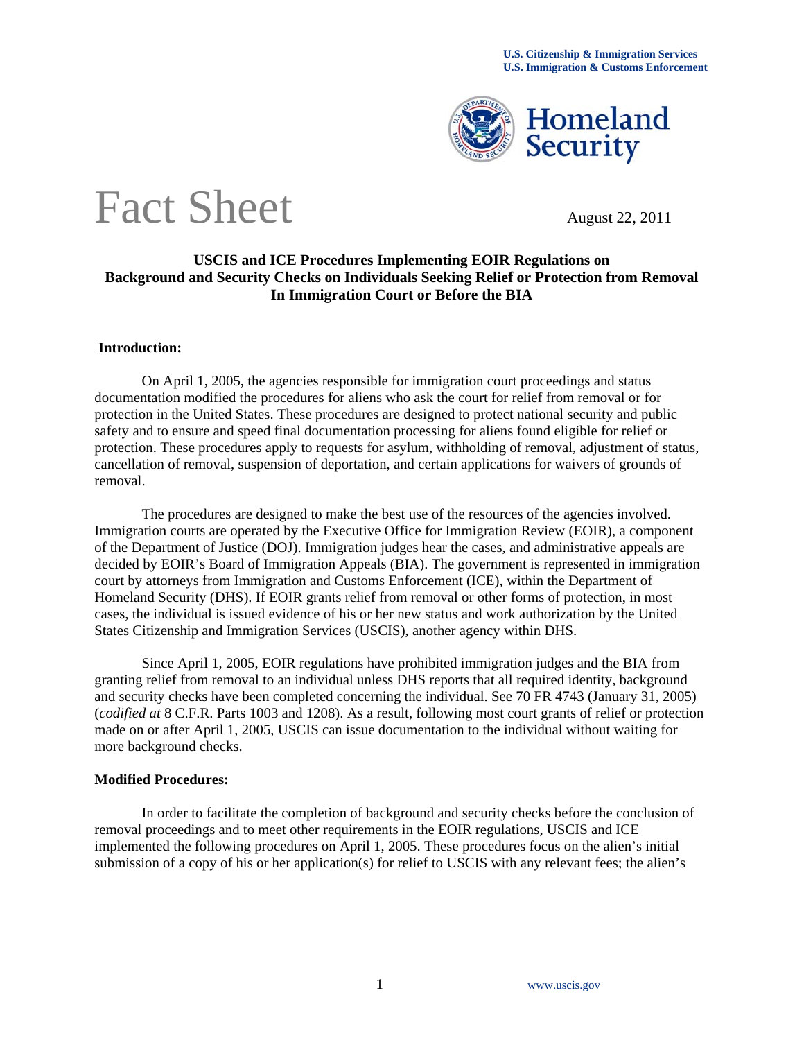

# Fact Sheet August 22, 2011

### **USCIS and ICE Procedures Implementing EOIR Regulations on Background and Security Checks on Individuals Seeking Relief or Protection from Removal In Immigration Court or Before the BIA**

#### **Introduction:**

On April 1, 2005, the agencies responsible for immigration court proceedings and status documentation modified the procedures for aliens who ask the court for relief from removal or for protection in the United States. These procedures are designed to protect national security and public safety and to ensure and speed final documentation processing for aliens found eligible for relief or protection. These procedures apply to requests for asylum, withholding of removal, adjustment of status, cancellation of removal, suspension of deportation, and certain applications for waivers of grounds of removal.

The procedures are designed to make the best use of the resources of the agencies involved. Immigration courts are operated by the Executive Office for Immigration Review (EOIR), a component of the Department of Justice (DOJ). Immigration judges hear the cases, and administrative appeals are decided by EOIR's Board of Immigration Appeals (BIA). The government is represented in immigration court by attorneys from Immigration and Customs Enforcement (ICE), within the Department of Homeland Security (DHS). If EOIR grants relief from removal or other forms of protection, in most cases, the individual is issued evidence of his or her new status and work authorization by the United States Citizenship and Immigration Services (USCIS), another agency within DHS.

Since April 1, 2005, EOIR regulations have prohibited immigration judges and the BIA from granting relief from removal to an individual unless DHS reports that all required identity, background and security checks have been completed concerning the individual. See 70 FR 4743 (January 31, 2005) (*codified at* 8 C.F.R. Parts 1003 and 1208). As a result, following most court grants of relief or protection made on or after April 1, 2005, USCIS can issue documentation to the individual without waiting for more background checks.

#### **Modified Procedures:**

In order to facilitate the completion of background and security checks before the conclusion of removal proceedings and to meet other requirements in the EOIR regulations, USCIS and ICE implemented the following procedures on April 1, 2005. These procedures focus on the alien's initial submission of a copy of his or her application(s) for relief to USCIS with any relevant fees; the alien's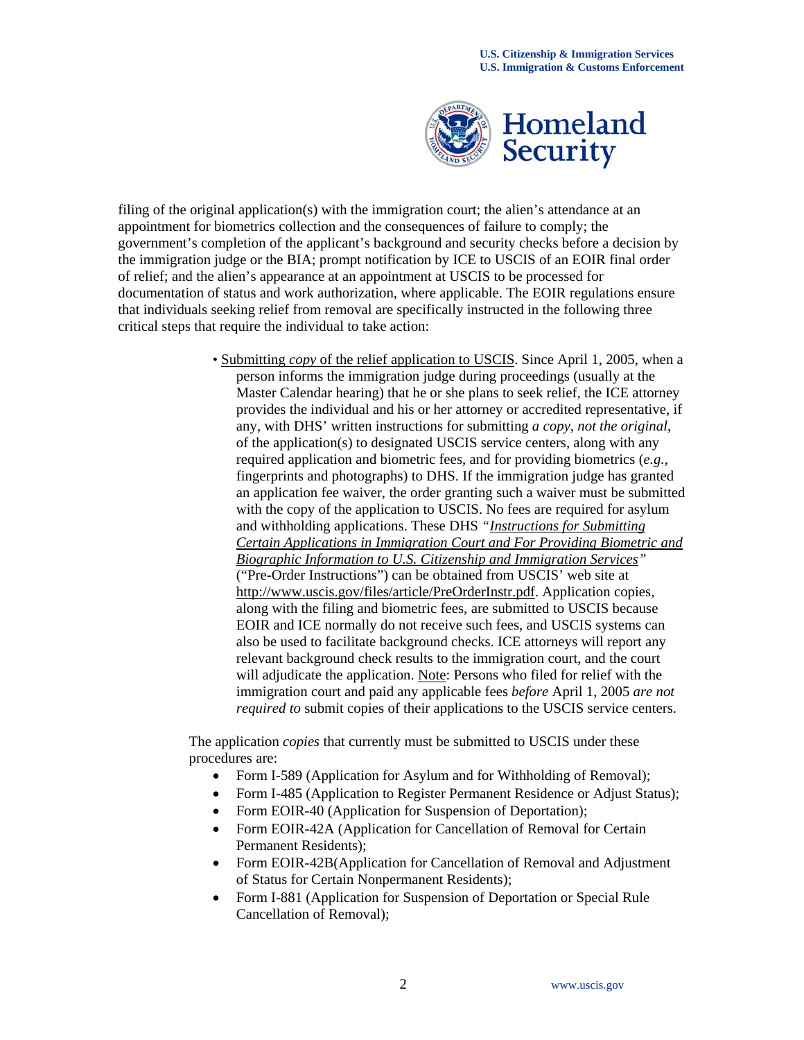

filing of the original application(s) with the immigration court; the alien's attendance at an appointment for biometrics collection and the consequences of failure to comply; the government's completion of the applicant's background and security checks before a decision by the immigration judge or the BIA; prompt notification by ICE to USCIS of an EOIR final order of relief; and the alien's appearance at an appointment at USCIS to be processed for documentation of status and work authorization, where applicable. The EOIR regulations ensure that individuals seeking relief from removal are specifically instructed in the following three critical steps that require the individual to take action:

> • Submitting *copy* of the relief application to USCIS. Since April 1, 2005, when a person informs the immigration judge during proceedings (usually at the Master Calendar hearing) that he or she plans to seek relief, the ICE attorney provides the individual and his or her attorney or accredited representative, if any, with DHS' written instructions for submitting *a copy*, *not the original*, of the application(s) to designated USCIS service centers, along with any required application and biometric fees, and for providing biometrics (*e.g.,*  fingerprints and photographs) to DHS. If the immigration judge has granted an application fee waiver, the order granting such a waiver must be submitted with the copy of the application to USCIS. No fees are required for asylum and withholding applications. These DHS *"Instructions for Submitting Certain Applications in Immigration Court and For Providing Biometric and Biographic Information to U.S. Citizenship and Immigration Services"*  ("Pre-Order Instructions") can be obtained from USCIS' web site at http://www.uscis.gov/files/article/PreOrderInstr.pdf. Application copies, along with the filing and biometric fees, are submitted to USCIS because EOIR and ICE normally do not receive such fees, and USCIS systems can also be used to facilitate background checks. ICE attorneys will report any relevant background check results to the immigration court, and the court will adjudicate the application. Note: Persons who filed for relief with the immigration court and paid any applicable fees *before* April 1, 2005 *are not required to* submit copies of their applications to the USCIS service centers.

The application *copies* that currently must be submitted to USCIS under these procedures are:

- Form I-589 (Application for Asylum and for Withholding of Removal);
- Form I-485 (Application to Register Permanent Residence or Adjust Status);
- Form EOIR-40 (Application for Suspension of Deportation);
- Form EOIR-42A (Application for Cancellation of Removal for Certain Permanent Residents);
- Form EOIR-42B(Application for Cancellation of Removal and Adjustment of Status for Certain Nonpermanent Residents);
- Form I-881 (Application for Suspension of Deportation or Special Rule Cancellation of Removal);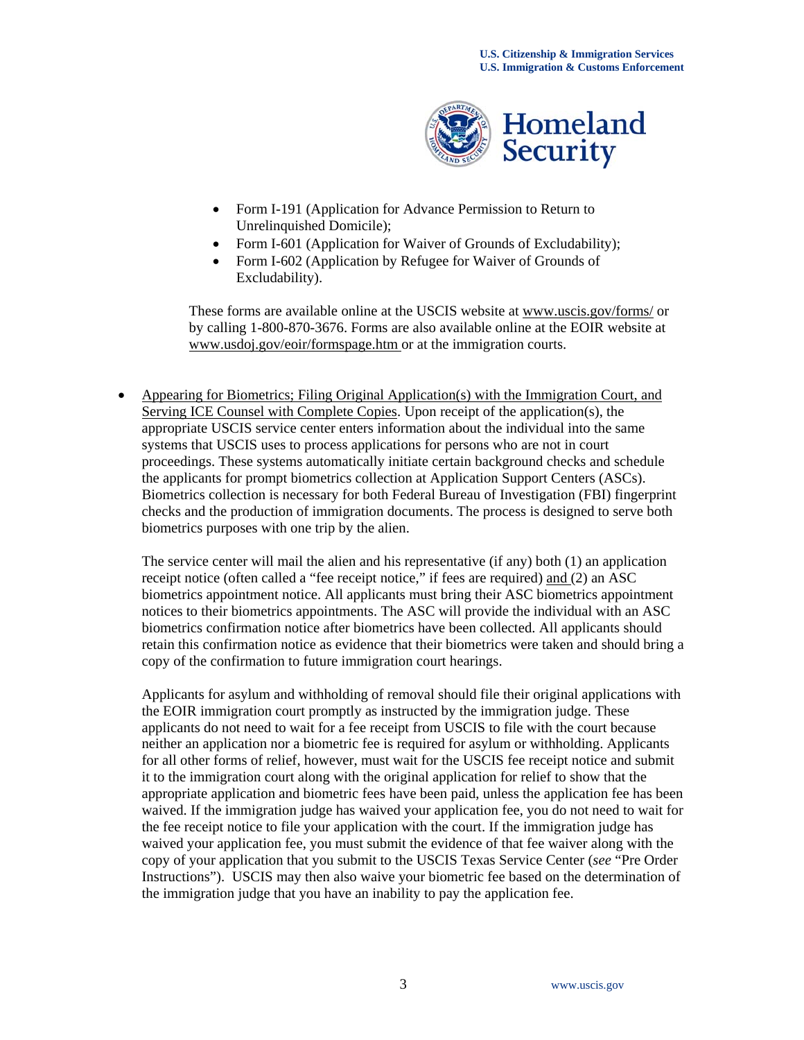

- Form I-191 (Application for Advance Permission to Return to Unrelinquished Domicile);
- Form I-601 (Application for Waiver of Grounds of Excludability);
- Form I-602 (Application by Refugee for Waiver of Grounds of Excludability).

These forms are available online at the USCIS website at www.uscis.gov/forms/ or by calling 1-800-870-3676. Forms are also available online at the EOIR website at www.usdoj.gov/eoir/formspage.htm or at the immigration courts.

 Appearing for Biometrics; Filing Original Application(s) with the Immigration Court, and Serving ICE Counsel with Complete Copies. Upon receipt of the application(s), the appropriate USCIS service center enters information about the individual into the same systems that USCIS uses to process applications for persons who are not in court proceedings. These systems automatically initiate certain background checks and schedule the applicants for prompt biometrics collection at Application Support Centers (ASCs). Biometrics collection is necessary for both Federal Bureau of Investigation (FBI) fingerprint checks and the production of immigration documents. The process is designed to serve both biometrics purposes with one trip by the alien.

The service center will mail the alien and his representative (if any) both (1) an application receipt notice (often called a "fee receipt notice," if fees are required) and (2) an ASC biometrics appointment notice. All applicants must bring their ASC biometrics appointment notices to their biometrics appointments. The ASC will provide the individual with an ASC biometrics confirmation notice after biometrics have been collected. All applicants should retain this confirmation notice as evidence that their biometrics were taken and should bring a copy of the confirmation to future immigration court hearings.

Applicants for asylum and withholding of removal should file their original applications with the EOIR immigration court promptly as instructed by the immigration judge. These applicants do not need to wait for a fee receipt from USCIS to file with the court because neither an application nor a biometric fee is required for asylum or withholding. Applicants for all other forms of relief, however, must wait for the USCIS fee receipt notice and submit it to the immigration court along with the original application for relief to show that the appropriate application and biometric fees have been paid, unless the application fee has been waived. If the immigration judge has waived your application fee, you do not need to wait for the fee receipt notice to file your application with the court. If the immigration judge has waived your application fee, you must submit the evidence of that fee waiver along with the copy of your application that you submit to the USCIS Texas Service Center (*see* "Pre Order Instructions"). USCIS may then also waive your biometric fee based on the determination of the immigration judge that you have an inability to pay the application fee.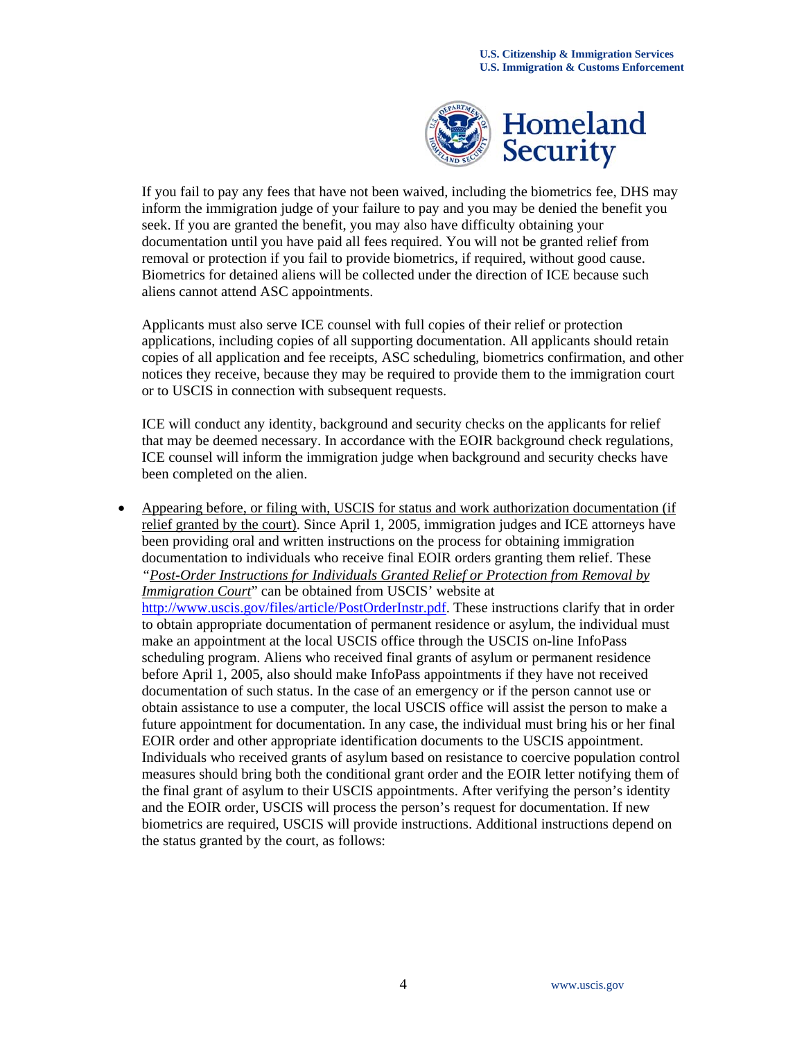

If you fail to pay any fees that have not been waived, including the biometrics fee, DHS may inform the immigration judge of your failure to pay and you may be denied the benefit you seek. If you are granted the benefit, you may also have difficulty obtaining your documentation until you have paid all fees required. You will not be granted relief from removal or protection if you fail to provide biometrics, if required, without good cause. Biometrics for detained aliens will be collected under the direction of ICE because such aliens cannot attend ASC appointments.

Applicants must also serve ICE counsel with full copies of their relief or protection applications, including copies of all supporting documentation. All applicants should retain copies of all application and fee receipts, ASC scheduling, biometrics confirmation, and other notices they receive, because they may be required to provide them to the immigration court or to USCIS in connection with subsequent requests.

ICE will conduct any identity, background and security checks on the applicants for relief that may be deemed necessary. In accordance with the EOIR background check regulations, ICE counsel will inform the immigration judge when background and security checks have been completed on the alien.

 Appearing before, or filing with, USCIS for status and work authorization documentation (if relief granted by the court). Since April 1, 2005, immigration judges and ICE attorneys have been providing oral and written instructions on the process for obtaining immigration documentation to individuals who receive final EOIR orders granting them relief. These *"Post-Order Instructions for Individuals Granted Relief or Protection from Removal by Immigration Court*" can be obtained from USCIS' website at http://www.uscis.gov/files/article/PostOrderInstr.pdf. These instructions clarify that in order to obtain appropriate documentation of permanent residence or asylum, the individual must make an appointment at the local USCIS office through the USCIS on-line InfoPass scheduling program. Aliens who received final grants of asylum or permanent residence before April 1, 2005, also should make InfoPass appointments if they have not received documentation of such status. In the case of an emergency or if the person cannot use or obtain assistance to use a computer, the local USCIS office will assist the person to make a future appointment for documentation. In any case, the individual must bring his or her final EOIR order and other appropriate identification documents to the USCIS appointment. Individuals who received grants of asylum based on resistance to coercive population control measures should bring both the conditional grant order and the EOIR letter notifying them of the final grant of asylum to their USCIS appointments. After verifying the person's identity and the EOIR order, USCIS will process the person's request for documentation. If new biometrics are required, USCIS will provide instructions. Additional instructions depend on the status granted by the court, as follows: